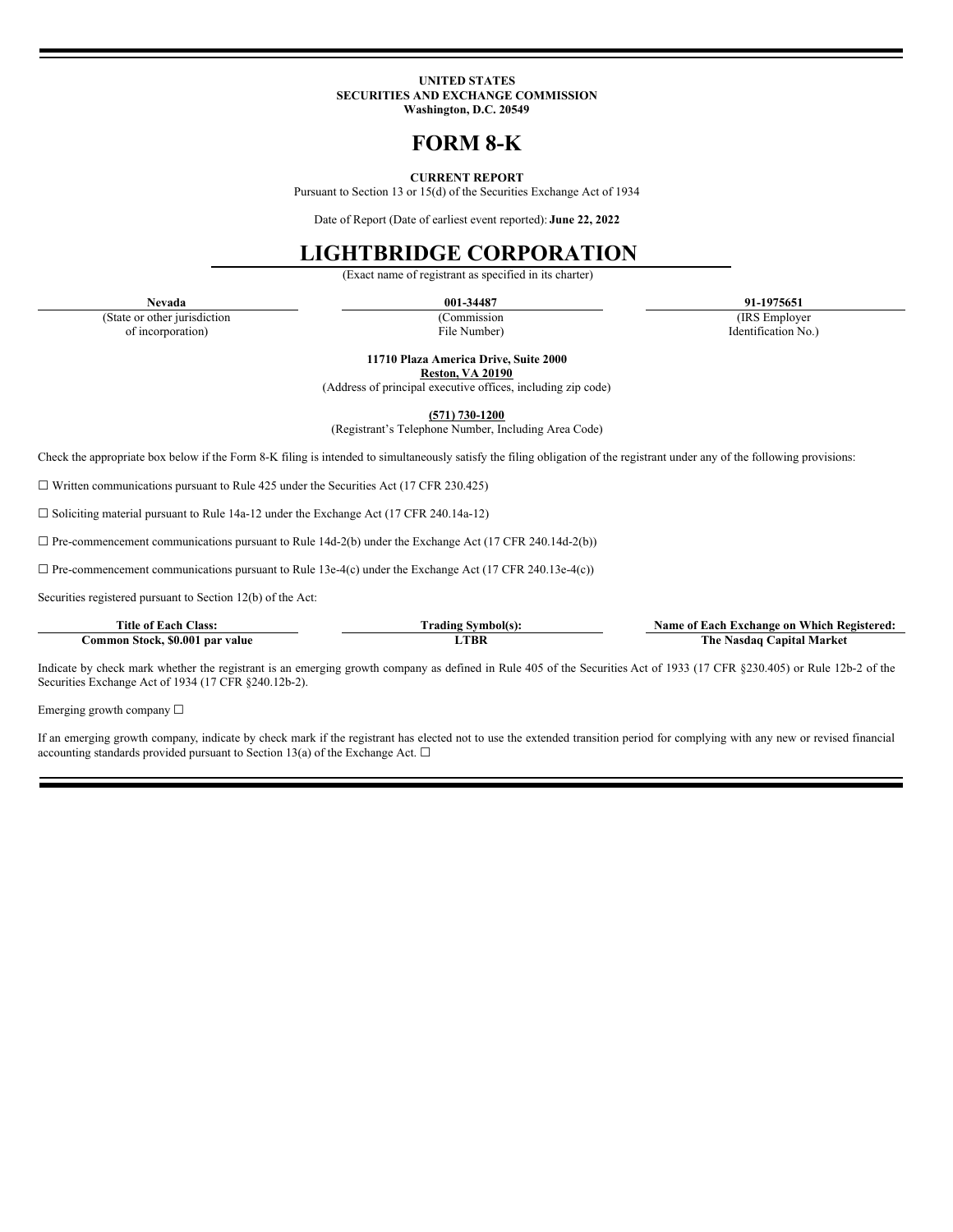#### **UNITED STATES SECURITIES AND EXCHANGE COMMISSION Washington, D.C. 20549**

# **FORM 8-K**

## **CURRENT REPORT**

Pursuant to Section 13 or 15(d) of the Securities Exchange Act of 1934

Date of Report (Date of earliest event reported): **June 22, 2022**

# **LIGHTBRIDGE CORPORATION**

(Exact name of registrant as specified in its charter)

(State or other jurisdiction (Commission (IRS Employer

**Nevada 001-34487 91-1975651**

of incorporation) File Number) Identification No.)

**11710 Plaza America Drive, Suite 2000 Reston, VA 20190**

(Address of principal executive offices, including zip code)

**(571) 730-1200**

(Registrant's Telephone Number, Including Area Code)

Check the appropriate box below if the Form 8-K filing is intended to simultaneously satisfy the filing obligation of the registrant under any of the following provisions:

☐ Written communications pursuant to Rule 425 under the Securities Act (17 CFR 230.425)

☐ Soliciting material pursuant to Rule 14a-12 under the Exchange Act (17 CFR 240.14a-12)

 $\Box$  Pre-commencement communications pursuant to Rule 14d-2(b) under the Exchange Act (17 CFR 240.14d-2(b))

 $\Box$  Pre-commencement communications pursuant to Rule 13e-4(c) under the Exchange Act (17 CFR 240.13e-4(c))

Securities registered pursuant to Section 12(b) of the Act:

| Title of<br><b>Class.</b><br>-acr                                        | ∕mbol€<br>radıng | Each<br>Name<br>Axchange on<br>:Registered<br>/ hich<br>v |
|--------------------------------------------------------------------------|------------------|-----------------------------------------------------------|
| -\$0.00°<br>:ommor<br>value<br>- Stock.<br>. nar<br>$\sim$ $\sim$ $\sim$ | -TBK             | Market<br>The<br>anital<br>sdac<br>. нат                  |

Indicate by check mark whether the registrant is an emerging growth company as defined in Rule 405 of the Securities Act of 1933 (17 CFR §230.405) or Rule 12b-2 of the Securities Exchange Act of 1934 (17 CFR §240.12b-2).

Emerging growth company □

If an emerging growth company, indicate by check mark if the registrant has elected not to use the extended transition period for complying with any new or revised financial accounting standards provided pursuant to Section 13(a) of the Exchange Act.  $\square$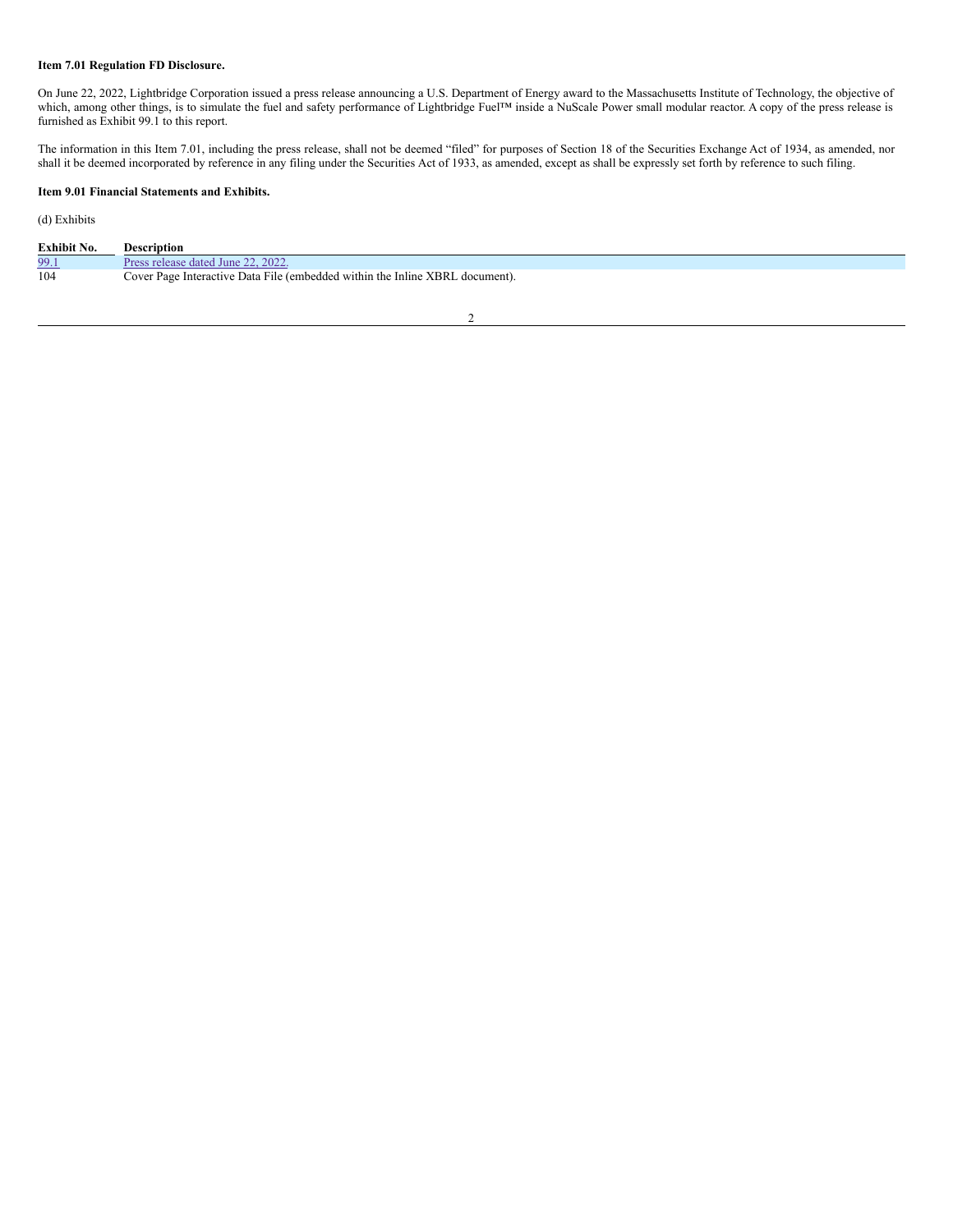## **Item 7.01 Regulation FD Disclosure.**

On June 22, 2022, Lightbridge Corporation issued a press release announcing a U.S. Department of Energy award to the Massachusetts Institute of Technology, the objective of which, among other things, is to simulate the fuel and safety performance of Lightbridge Fuel™ inside a NuScale Power small modular reactor. A copy of the press release is furnished as Exhibit 99.1 to this report.

The information in this Item 7.01, including the press release, shall not be deemed "filed" for purposes of Section 18 of the Securities Exchange Act of 1934, as amended, nor shall it be deemed incorporated by reference in any filing under the Securities Act of 1933, as amended, except as shall be expressly set forth by reference to such filing.

# **Item 9.01 Financial Statements and Exhibits.**

(d) Exhibits

| Exhibit No. | Description                                                                                                    |
|-------------|----------------------------------------------------------------------------------------------------------------|
| 99.         | 202<br>LJune  <br>jatec <sup>1</sup>                                                                           |
| 104         | <b>XBRI</b><br>$\cdot$ Interactive Data File (embedded within the Inline $\lambda$<br>document).<br>Cover Page |

2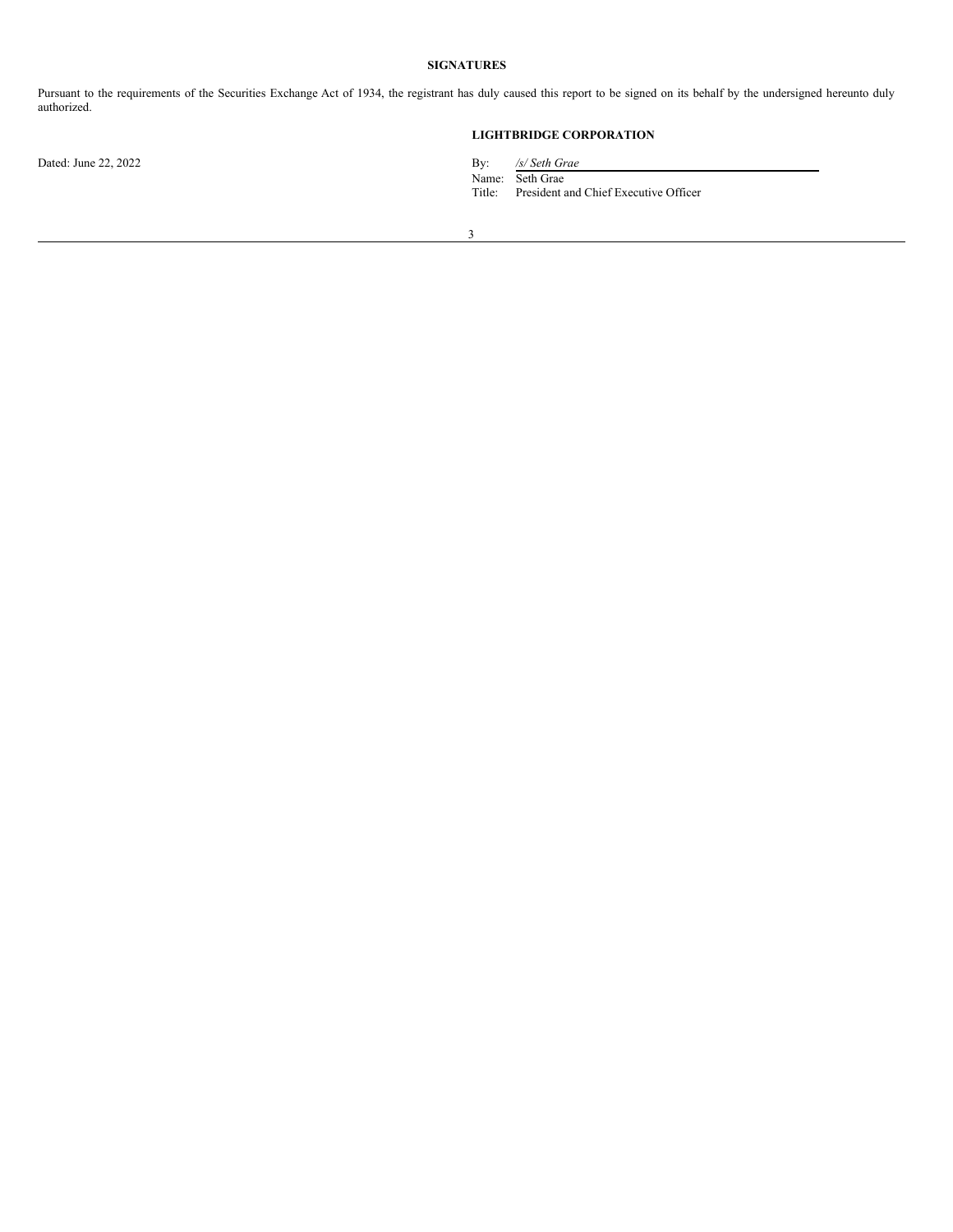# **SIGNATURES**

Pursuant to the requirements of the Securities Exchange Act of 1934, the registrant has duly caused this report to be signed on its behalf by the undersigned hereunto duly authorized.

# **LIGHTBRIDGE CORPORATION**

Dated: June 22, 2022 By: */s/ Seth Grae*

Name: Seth Grae

Title: President and Chief Executive Officer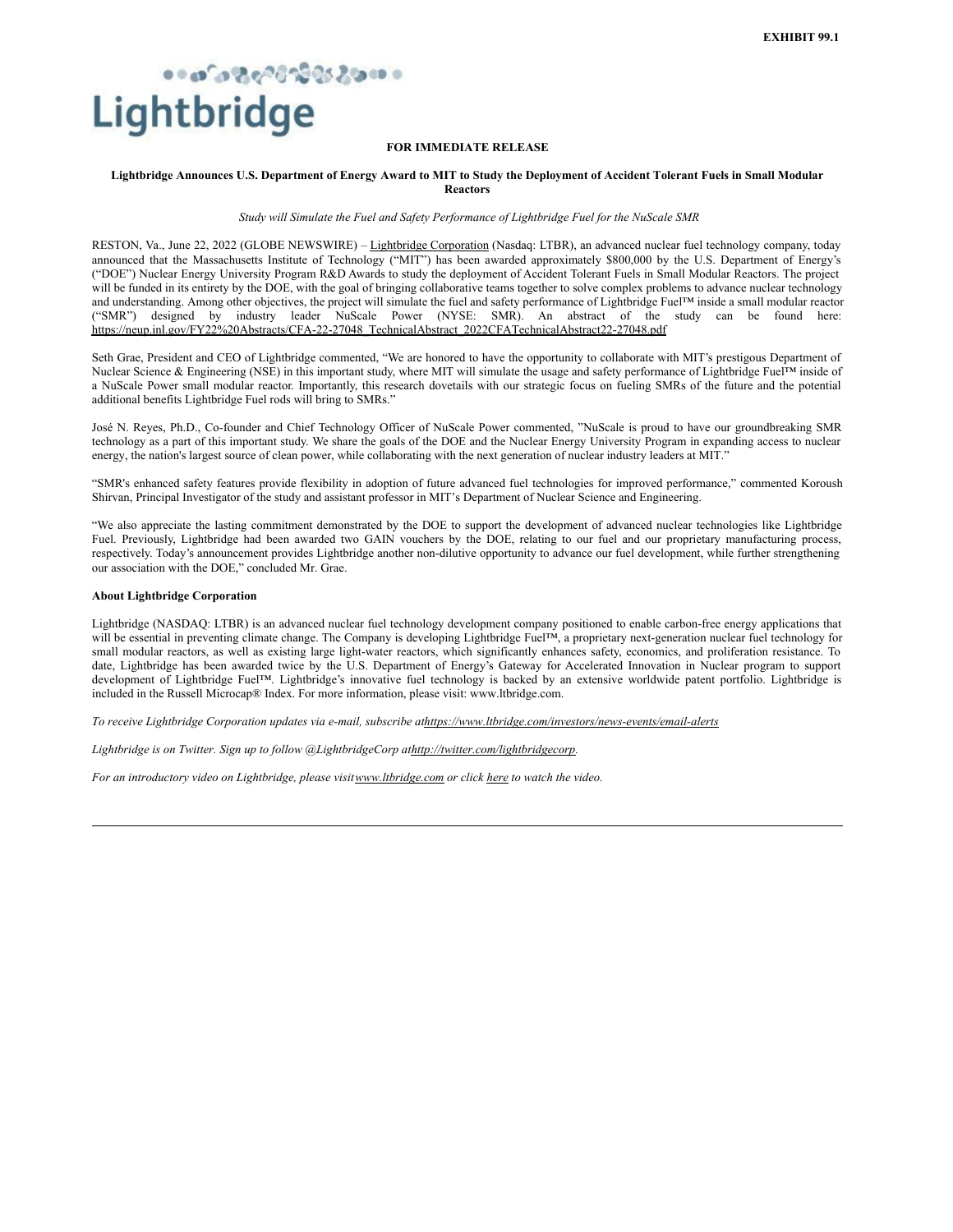# <span id="page-3-0"></span>Lightbridge

## **FOR IMMEDIATE RELEASE**

#### Lightbridge Announces U.S. Department of Energy Award to MIT to Study the Deployment of Accident Tolerant Fuels in Small Modular **Reactors**

*Study will Simulate the Fuel and Safety Performance of Lightbridge Fuel for the NuScale SMR*

RESTON, Va., June 22, 2022 (GLOBE NEWSWIRE) – Lightbridge Corporation (Nasdaq: LTBR), an advanced nuclear fuel technology company, today announced that the Massachusetts Institute of Technology ("MIT") has been awarded approximately \$800,000 by the U.S. Department of Energy's ("DOE") Nuclear Energy University Program R&D Awards to study the deployment of Accident Tolerant Fuels in Small Modular Reactors. The project will be funded in its entirety by the DOE, with the goal of bringing collaborative teams together to solve complex problems to advance nuclear technology and understanding. Among other objectives, the project will simulate the fuel and safety performance of Lightbridge Fuel™ inside a small modular reactor ("SMR") designed by industry leader NuScale Power (NYSE: SMR). An abstract of the study can be found here: https://neup.inl.gov/FY22%20Abstracts/CFA-22-27048\_TechnicalAbstract\_2022CFATechnicalAbstract22-27048.pdf

Seth Grae, President and CEO of Lightbridge commented, "We are honored to have the opportunity to collaborate with MIT's prestigous Department of Nuclear Science & Engineering (NSE) in this important study, where MIT will simulate the usage and safety performance of Lightbridge Fuel™ inside of a NuScale Power small modular reactor. Importantly, this research dovetails with our strategic focus on fueling SMRs of the future and the potential additional benefits Lightbridge Fuel rods will bring to SMRs."

José N. Reyes, Ph.D., Co-founder and Chief Technology Officer of NuScale Power commented, "NuScale is proud to have our groundbreaking SMR technology as a part of this important study. We share the goals of the DOE and the Nuclear Energy University Program in expanding access to nuclear energy, the nation's largest source of clean power, while collaborating with the next generation of nuclear industry leaders at MIT."

"SMR's enhanced safety features provide flexibility in adoption of future advanced fuel technologies for improved performance," commented Koroush Shirvan, Principal Investigator of the study and assistant professor in MIT's Department of Nuclear Science and Engineering.

"We also appreciate the lasting commitment demonstrated by the DOE to support the development of advanced nuclear technologies like Lightbridge Fuel. Previously, Lightbridge had been awarded two GAIN vouchers by the DOE, relating to our fuel and our proprietary manufacturing process, respectively. Today's announcement provides Lightbridge another non-dilutive opportunity to advance our fuel development, while further strengthening our association with the DOE," concluded Mr. Grae.

#### **About Lightbridge Corporation**

Lightbridge (NASDAQ: LTBR) is an advanced nuclear fuel technology development company positioned to enable carbon-free energy applications that will be essential in preventing climate change. The Company is developing Lightbridge Fuel™, a proprietary next-generation nuclear fuel technology for small modular reactors, as well as existing large light-water reactors, which significantly enhances safety, economics, and proliferation resistance. To date, Lightbridge has been awarded twice by the U.S. Department of Energy's Gateway for Accelerated Innovation in Nuclear program to support development of Lightbridge Fuel™. Lightbridge's innovative fuel technology is backed by an extensive worldwide patent portfolio. Lightbridge is included in the Russell Microcap® Index. For more information, please visit: www.ltbridge.com.

*To receive Lightbridge Corporation updates via e-mail, subscribe athttps://www.ltbridge.com/investors/news-events/email-alerts*

*Lightbridge is on Twitter. Sign up to follow @LightbridgeCorp athttp://twitter.com/lightbridgecorp.*

*For an introductory video on Lightbridge, please visitwww.ltbridge.com or click here to watch the video.*